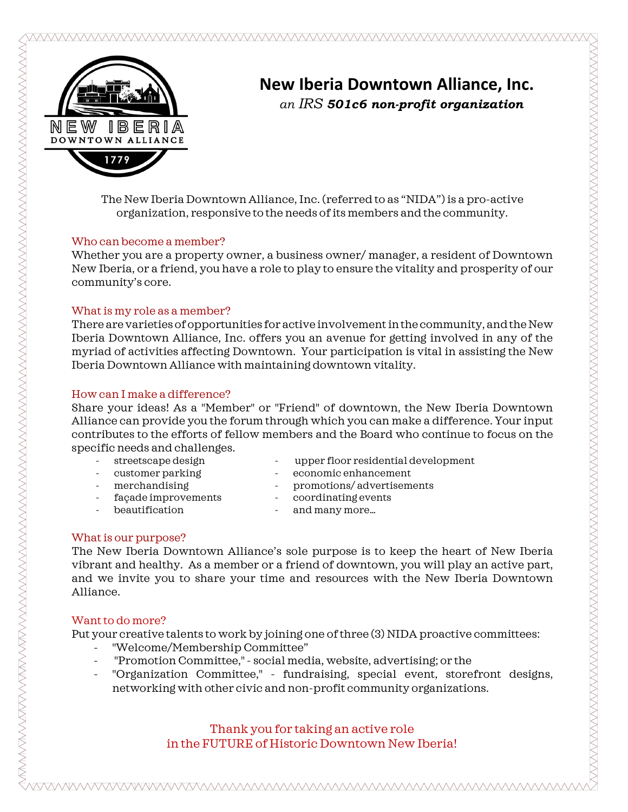

## **New Iberia Downtown Alliance, Inc.** *an IRS 501c6 non-profit organization*

The New Iberia Downtown Alliance, Inc. (referred to as "NIDA") is a pro-active organization, responsive to the needs of its members and the community.

#### Who can become a member?

Whether you are a property owner, a business owner/ manager, a resident of Downtown New Iberia, or a friend, you have a role to play to ensure the vitality and prosperity of our community's core.

#### What is my role as a member?

There are varieties of opportunities for active involvement in the community, and the New Iberia Downtown Alliance, Inc. offers you an avenue for getting involved in any of the myriad of activities affecting Downtown. Your participation is vital in assisting the New Iberia Downtown Alliance with maintaining downtown vitality.

### How can I make a difference?

Share your ideas! As a "Member" or "Friend" of downtown, the New Iberia Downtown Alliance can provide you the forum through which you can make a difference. Your input contributes to the efforts of fellow members and the Board who continue to focus on the specific needs and challenges.

- streetscape design upper floor residential development
- 
- 
- façade improvements coordinating events
- 
- customer parking  $\sim$  economic enhancement
- merchandising promotions/ advertisements
	-
- beautification and many more...
- 

### What is our purpose?

The New Iberia Downtown Alliance's sole purpose is to keep the heart of New Iberia vibrant and healthy. As a member or a friend of downtown, you will play an active part, and we invite you to share your time and resources with the New Iberia Downtown Alliance.

### Want to do more?

Put your creative talents to work by joining one of three (3) NIDA proactive committees:

- "Welcome/Membership Committee"
- "Promotion Committee," social media, website, advertising; or the
- "Organization Committee," fundraising, special event, storefront designs, networking with other civic and non-profit community organizations.

Thank you for taking an active role in the FUTURE of Historic Downtown New Iberia!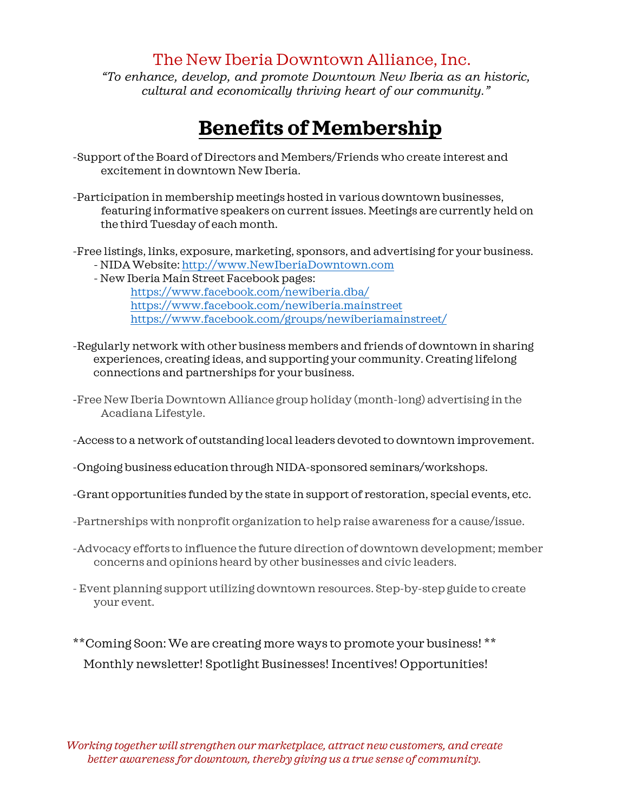## The New Iberia Downtown Alliance, Inc.

*"To enhance, develop, and promote Downtown New Iberia as an historic, cultural and economically thriving heart of our community."* 

# **Benefits of Membership**

- -Support of the Board of Directors and Members/Friends who create interest and excitement in downtown New Iberia.
- -Participation in membership meetings hosted in various downtown businesses, featuring informative speakers on current issues. Meetings are currently held on the third Tuesday of each month.
- -Free listings, links, exposure, marketing, sponsors, and advertising for your business. - NIDA Website[: http://www.NewIberiaDowntown.com](http://www.newiberiadowntown.com/)
	- New Iberia Main Street Facebook pages: <https://www.facebook.com/newiberia.dba/> <https://www.facebook.com/newiberia.mainstreet> <https://www.facebook.com/groups/newiberiamainstreet/>
- -Regularly network with other business members and friends of downtown in sharing experiences, creating ideas, and supporting your community. Creating lifelong connections and partnerships for your business.
- -Free New Iberia Downtown Alliance group holiday (month-long) advertising in the Acadiana Lifestyle.
- -Access to a network of outstanding local leaders devoted to downtown improvement.
- -Ongoing business education through NIDA-sponsored seminars/workshops.
- -Grant opportunities funded by the state in support of restoration, special events, etc.
- -Partnerships with nonprofit organization to help raise awareness for a cause/issue.
- -Advocacy efforts to influence the future direction of downtown development; member concerns and opinions heard by other businesses and civic leaders.
- Event planning support utilizing downtown resources. Step-by-step guide to create your event.
- \*\*Coming Soon: We are creating more ways to promote your business! \*\* Monthly newsletter! Spotlight Businesses! Incentives! Opportunities!

*Working together will strengthen our marketplace, attract new customers, and create better awareness for downtown, thereby giving us a true sense of community.*